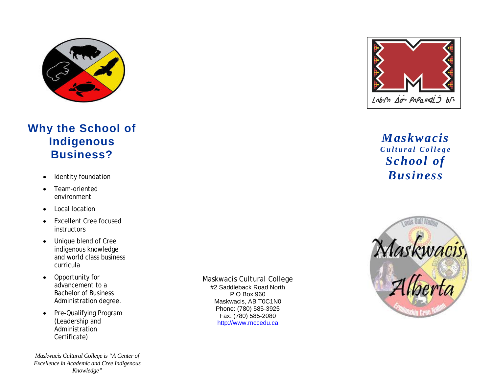

# **Why the School of Indigenous Business ?**

- 
- Team-oriented environment
- Local location
- Excellent Cree focused **instructors**
- Unique blend of Cree indigenous knowledge and world class business curricula
- Opportunity for advancement to a Bachelor of Business Administration degree.
- Pre-Qualifying Program (Leadership and Administration Certificate)

*Maskwacis Cultural College is "A Center of Excellence in Academic and Cree Indigenous Knowledge"*

Maskwacis Cultural College #2 Saddleback Road North P.O Box 960 Maskwacis, AB T0C1N0 Phone: (780) 58 5 -3925 Fax: (780) 58 5 -2080 [http://www.mccedu.ca](http://www.mccedu.ca/)



*Maskwacis Cultural College School of*  • Identity foundation *Business*